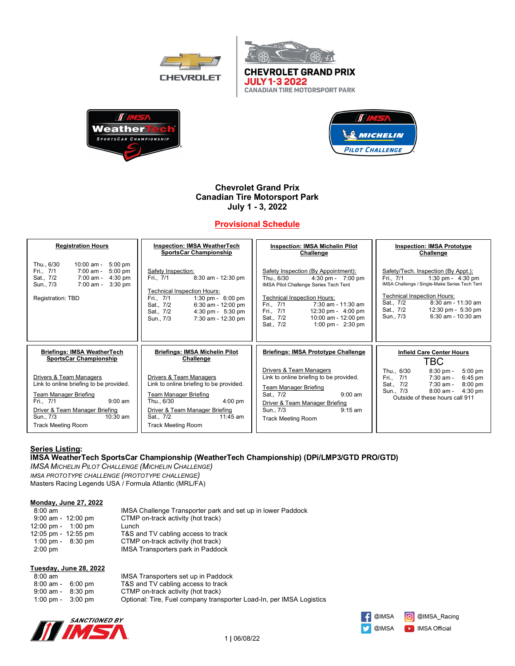



**CANADIAN TIRE MOTORSPORT PARK** 



# **Chevrolet Grand Prix Canadian Tire Motorsport Park July 1 - 3, 2022**

# **Provisional Schedule**

| <b>Registration Hours</b>                                                                                                                                                                                              | <b>Inspection: IMSA WeatherTech</b>                                                                                                                                                                                                                | <b>Inspection: IMSA Michelin Pilot</b>                                                                                                                                                                                                                                                                                      | <b>Inspection: IMSA Prototype</b>                                                                                                                                                                                                                                             |
|------------------------------------------------------------------------------------------------------------------------------------------------------------------------------------------------------------------------|----------------------------------------------------------------------------------------------------------------------------------------------------------------------------------------------------------------------------------------------------|-----------------------------------------------------------------------------------------------------------------------------------------------------------------------------------------------------------------------------------------------------------------------------------------------------------------------------|-------------------------------------------------------------------------------------------------------------------------------------------------------------------------------------------------------------------------------------------------------------------------------|
|                                                                                                                                                                                                                        | <b>SportsCar Championship</b>                                                                                                                                                                                                                      | Challenge                                                                                                                                                                                                                                                                                                                   | Challenge                                                                                                                                                                                                                                                                     |
| Thu., 6/30<br>$10:00$ am -<br>$5:00 \text{ pm}$<br>$5:00$ pm<br>Fri., 7/1<br>7:00 am -<br>Sat., 7/2<br>7:00 am -<br>$4:30$ pm<br>$3:30$ pm<br>Sun., 7/3<br>7:00 am -<br>Registration: TBD                              | Safety Inspection:<br>8:30 am - 12:30 pm<br>Fri., 7/1<br>Technical Inspection Hours:<br>Fri., 7/1<br>1:30 pm - $6:00$ pm<br>6:30 am - 12:00 pm<br>Sat., 7/2<br>Sat., 7/2<br>$4:30 \text{ pm} - 5:30 \text{ pm}$<br>Sun., 7/3<br>7:30 am - 12:30 pm | Safety Inspection (By Appointment):<br>Thu., 6/30<br>$4:30 \text{ pm} - 7:00 \text{ pm}$<br>IMSA Pilot Challenge Series Tech Tent<br><b>Technical Inspection Hours:</b><br>$7:30$ am - $11:30$ am<br>Fri., 7/1<br>Fri., 7/1<br>12:30 pm - $4:00$ pm<br>Sat., 7/2<br>10:00 am - 12:00 pm<br>1:00 pm - $2:30$ pm<br>Sat., 7/2 | Safety/Tech. Inspection (By Appt.):<br>Fri., 7/1<br>1:30 pm - $4:30$ pm<br>IMSA Challenge / Single-Make Series Tech Tent<br><b>Technical Inspection Hours:</b><br>$8:30$ am - 11:30 am<br>Sat., 7/2<br>Sat., 7/2<br>12:30 pm - 5:30 pm<br>$6:30$ am - $10:30$ am<br>Sun., 7/3 |
| <b>Briefings: IMSA WeatherTech</b>                                                                                                                                                                                     | <b>Briefings: IMSA Michelin Pilot</b>                                                                                                                                                                                                              | <b>Briefings: IMSA Prototype Challenge</b>                                                                                                                                                                                                                                                                                  | <b>Infield Care Center Hours</b>                                                                                                                                                                                                                                              |
| <b>SportsCar Championship</b>                                                                                                                                                                                          | Challenge                                                                                                                                                                                                                                          |                                                                                                                                                                                                                                                                                                                             | TBC                                                                                                                                                                                                                                                                           |
| Drivers & Team Managers<br>Link to online briefing to be provided.<br><b>Team Manager Briefing</b><br>$9:00$ am<br>Fri., 7/1<br>Driver & Team Manager Briefing<br>$10:30$ am<br>Sun., 7/3<br><b>Track Meeting Room</b> | Drivers & Team Managers<br>Link to online briefing to be provided.<br><b>Team Manager Briefing</b><br>Thu., 6/30<br>$4:00 \text{ pm}$<br>Driver & Team Manager Briefing<br>$11:45$ am<br>Sat., 7/2<br><b>Track Meeting Room</b>                    | Drivers & Team Managers<br>Link to online briefing to be provided.<br><b>Team Manager Briefing</b><br>$9:00$ am<br>Sat., 7/2<br>Driver & Team Manager Briefing<br>$9:15$ am<br>Sun., 7/3<br><b>Track Meeting Room</b>                                                                                                       | Thu., 6/30<br>$8:30$ pm -<br>$5:00$ pm<br>Fri., 7/1<br>7:30 am -<br>$6:45 \text{ pm}$<br>Sat., 7/2<br>7:30 am -<br>$8:00$ pm<br>Sun., 7/3<br>8:00 am -<br>$4:30$ pm<br>Outside of these hours call 911                                                                        |

# **Series Listing:**

### **IMSA WeatherTech SportsCar Championship (WeatherTech Championship) (DPi/LMP3/GTD PRO/GTD)**

*IMSA MICHELIN PILOT CHALLENGE (MICHELIN CHALLENGE) IMSA PROTOTYPE CHALLENGE (PROTOTYPE CHALLENGE)* Masters Racing Legends USA / Formula Atlantic (MRL/FA)

Weather

**SPORTSCAR CHAMPIONSHIP** 

### **Monday, June 27, 2022**

| $8:00 \text{ am}$       | IMSA Challenge Transporter park and set up in lower Paddock |
|-------------------------|-------------------------------------------------------------|
| $9:00$ am - 12:00 pm    | CTMP on-track activity (hot track)                          |
| 12:00 pm - 1:00 pm      | Lunch                                                       |
| $12:05$ pm - $12:55$ pm | T&S and TV cabling access to track                          |
| 1:00 pm - $8:30$ pm     | CTMP on-track activity (hot track)                          |
| $2:00$ pm               | IMSA Transporters park in Paddock                           |

#### **Tuesday, June 28, 2022**

| $8:00 \text{ am}$ |           |
|-------------------|-----------|
| $8:00$ am -       | $6:00$ pm |
| $9:00$ am -       | $8:30$ pm |
| $1:00$ pm -       | $3:00$ pm |

IMSA Transporters set up in Paddock T&S and TV cabling access to track CTMP on-track activity (hot track) Optional: Tire, Fuel company transporter Load-In, per IMSA Logistics



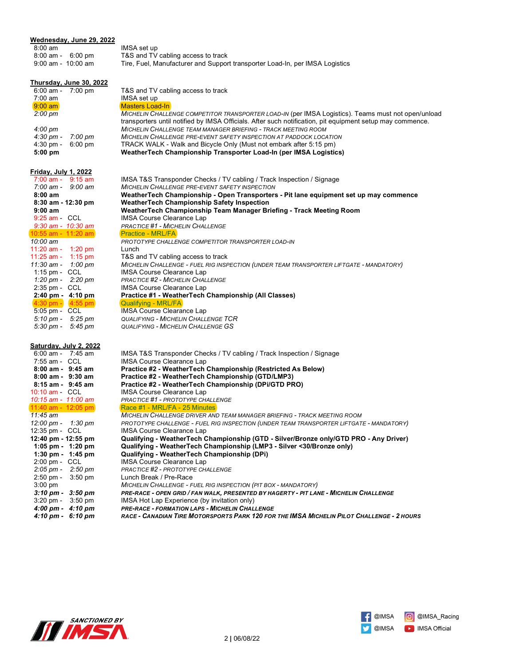| Wednesday, June 29, 2022                                     |                                                                                                                                                   |
|--------------------------------------------------------------|---------------------------------------------------------------------------------------------------------------------------------------------------|
| $8:00 \text{ am}$                                            | IMSA set up                                                                                                                                       |
| $8:00$ am - $6:00$ pm                                        | T&S and TV cabling access to track                                                                                                                |
| $9:00$ am - $10:00$ am                                       | Tire, Fuel, Manufacturer and Support transporter Load-In, per IMSA Logistics                                                                      |
|                                                              |                                                                                                                                                   |
| Thursday, June 30, 2022                                      |                                                                                                                                                   |
| $6:00$ am -<br>$7:00$ pm                                     | T&S and TV cabling access to track                                                                                                                |
| $7:00$ am                                                    | IMSA set up                                                                                                                                       |
| $9:00$ am                                                    | <b>Masters Load-In</b>                                                                                                                            |
| $2:00 \text{ pm}$                                            | MICHELIN CHALLENGE COMPETITOR TRANSPORTER LOAD-IN (per IMSA Logistics). Teams must not open/unload                                                |
|                                                              | transporters until notified by IMSA Officials. After such notification, pit equipment setup may commence.                                         |
| 4:00 pm                                                      | <b>MICHELIN CHALLENGE TEAM MANAGER BRIEFING - TRACK MEETING ROOM</b><br><b>MICHELIN CHALLENGE PRE-EVENT SAFETY INSPECTION AT PADDOCK LOCATION</b> |
| $4:30 \text{ pm} -$<br>7:00 pm<br>$4:30$ pm $-$<br>$6:00$ pm | TRACK WALK - Walk and Bicycle Only (Must not embark after 5:15 pm)                                                                                |
| $5:00$ pm                                                    | WeatherTech Championship Transporter Load-In (per IMSA Logistics)                                                                                 |
|                                                              |                                                                                                                                                   |
| <u>Friday, July 1, 2022</u>                                  |                                                                                                                                                   |
| $7:00$ am - $9:15$ am                                        | IMSA T&S Transponder Checks / TV cabling / Track Inspection / Signage                                                                             |
| $7:00 \text{ am} - 9:00 \text{ am}$                          | MICHELIN CHALLENGE PRE-EVENT SAFETY INSPECTION                                                                                                    |
| $8:00$ am                                                    | WeatherTech Championship - Open Transporters - Pit lane equipment set up may commence                                                             |
| 8:30 am - 12:30 pm                                           | <b>WeatherTech Championship Safety Inspection</b>                                                                                                 |
| $9:00$ am                                                    | WeatherTech Championship Team Manager Briefing - Track Meeting Room                                                                               |
| $9:25$ am $-CCL$                                             | <b>IMSA Course Clearance Lap</b>                                                                                                                  |
| $9:30$ am - $10:30$ am                                       | <b>PRACTICE #1 - MICHELIN CHALLENGE</b>                                                                                                           |
| $10:55$ am - 11:20 am                                        | <b>Practice - MRL/FA</b>                                                                                                                          |
| 10:00 am                                                     | PROTOTYPE CHALLENGE COMPETITOR TRANSPORTER LOAD-IN<br>Lunch                                                                                       |
| 11:20 am - 1:20 pm<br>11:25 am - 1:15 pm                     | T&S and TV cabling access to track                                                                                                                |
| 11:30 am - 1:00 pm                                           | MICHELIN CHALLENGE - FUEL RIG INSPECTION (UNDER TEAM TRANSPORTER LIFTGATE - MANDATORY)                                                            |
| 1:15 pm - $CCL$                                              | <b>IMSA Course Clearance Lap</b>                                                                                                                  |
| 1:20 pm - 2:20 pm                                            | PRACTICE #2 - MICHELIN CHALLENGE                                                                                                                  |
| 2:35 pm - CCL                                                | <b>IMSA Course Clearance Lap</b>                                                                                                                  |
| 2:40 pm - 4:10 pm                                            | Practice #1 - WeatherTech Championship (All Classes)                                                                                              |
| $4:30$ pm - $4:55$ pm                                        | Qualifying - MRL/FA                                                                                                                               |
| 5:05 pm - CCL                                                | <b>IMSA Course Clearance Lap</b>                                                                                                                  |
| $5:10 \text{ pm} - 5:25 \text{ pm}$                          | <b>QUALIFYING - MICHELIN CHALLENGE TCR</b>                                                                                                        |
| 5:30 pm - $5:45$ pm                                          | <b>QUALIFYING - MICHELIN CHALLENGE GS</b>                                                                                                         |
|                                                              |                                                                                                                                                   |
| Saturday, July 2, 2022<br>6:00 am - 7:45 am                  | IMSA T&S Transponder Checks / TV cabling / Track Inspection / Signage                                                                             |
| 7:55 am - CCL                                                | IMSA Course Clearance Lap                                                                                                                         |
| $8:00$ am - $9:45$ am                                        | Practice #2 - WeatherTech Championship (Restricted As Below)                                                                                      |
| $8:00$ am - $9:30$ am                                        | Practice #2 - WeatherTech Championship (GTD/LMP3)                                                                                                 |
| $8:15$ am - $9:45$ am                                        | Practice #2 - WeatherTech Championship (DPi/GTD PRO)                                                                                              |
| $10:10$ am $-$ CCL                                           | <b>IMSA Course Clearance Lap</b>                                                                                                                  |
| 10:15 am - 11:00 am                                          | PRACTICE #1 - PROTOTYPE CHALLENGE                                                                                                                 |
| 11:40 am - $12:05$ pm                                        | Race #1 - MRL/FA - 25 Minutes                                                                                                                     |
| 11:45 am                                                     | MICHELIN CHALLENGE DRIVER AND TEAM MANAGER BRIEFING - TRACK MEETING ROOM                                                                          |
| 12:00 pm - 1:30 pm<br>12:35 pm - CCL                         | PROTOTYPE CHALLENGE - FUEL RIG INSPECTION (UNDER TEAM TRANSPORTER LIFTGATE - MANDATORY)<br><b>IMSA Course Clearance Lap</b>                       |
| 12:40 pm - 12:55 pm                                          | Qualifying - WeatherTech Championship (GTD - Silver/Bronze only/GTD PRO - Any Driver)                                                             |
| 1:05 pm - $1:20$ pm                                          | Qualifying - WeatherTech Championship (LMP3 - Silver <30/Bronze only)                                                                             |
| 1:30 pm - $1:45$ pm                                          | Qualifying - WeatherTech Championship (DPi)                                                                                                       |
| $2:00 \text{ pm} - \text{CCL}$                               | IMSA Course Clearance Lap                                                                                                                         |
| $2:05 \text{ pm} - 2:50 \text{ pm}$                          | PRACTICE #2 - PROTOTYPE CHALLENGE                                                                                                                 |
| $2:50$ pm -<br>$3:50$ pm                                     | Lunch Break / Pre-Race                                                                                                                            |
| $3:00$ pm                                                    | MICHELIN CHALLENGE - FUEL RIG INSPECTION (PIT BOX - MANDATORY)                                                                                    |
| $3:10 \text{ pm} - 3:50 \text{ pm}$                          | PRE-RACE - OPEN GRID / FAN WALK, PRESENTED BY HAGERTY - PIT LANE - MICHELIN CHALLENGE                                                             |
| $3:20$ pm $-$<br>$3:50$ pm                                   | IMSA Hot Lap Experience (by invitation only)                                                                                                      |
| 4:00 pm - 4:10 pm                                            | PRE-RACE - FORMATION LAPS - MICHELIN CHALLENGE                                                                                                    |





 *4:10 pm - 6:10 pm RACE - CANADIAN TIRE MOTORSPORTS PARK 120 FOR THE IMSA MICHELIN PILOT CHALLENGE - 2 HOURS*